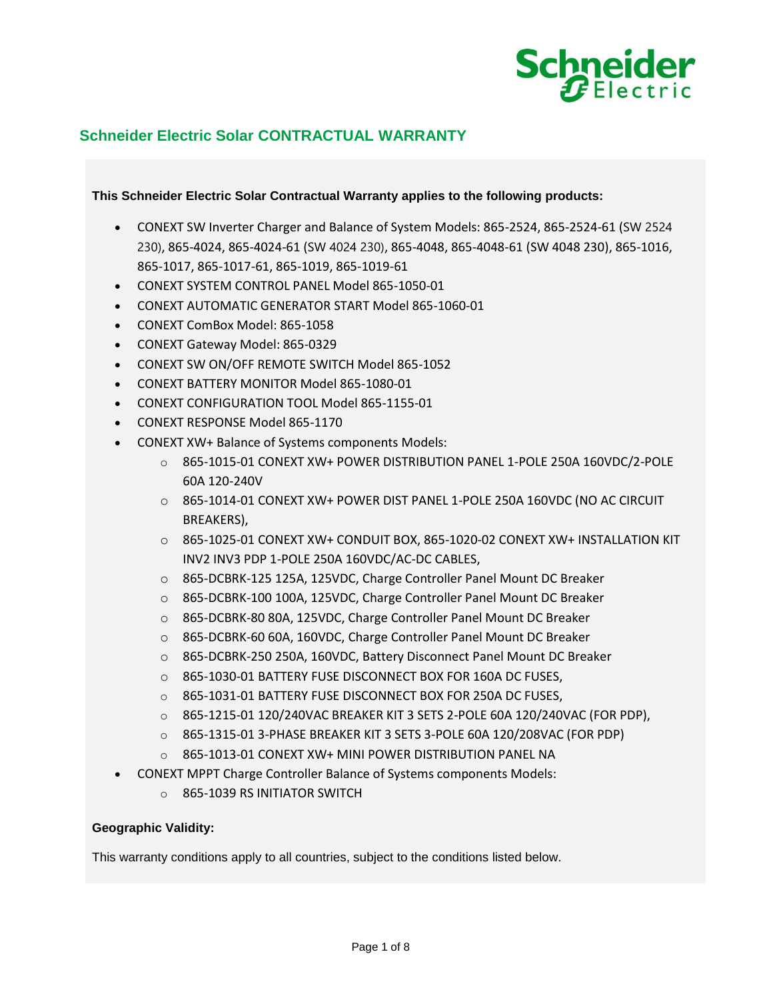

# **Schneider Electric Solar CONTRACTUAL WARRANTY**

### **This Schneider Electric Solar Contractual Warranty applies to the following products:**

- CONEXT SW Inverter Charger and Balance of System Models: 865-2524, 865-2524-61 (SW 2524 230), 865-4024, 865-4024-61 (SW 4024 230), 865-4048, 865-4048-61 (SW 4048 230), 865-1016, 865-1017, 865-1017-61, 865-1019, 865-1019-61
- CONEXT SYSTEM CONTROL PANEL Model 865-1050-01
- CONEXT AUTOMATIC GENERATOR START Model 865-1060-01
- CONEXT ComBox Model: 865-1058
- CONEXT Gateway Model: 865-0329
- CONEXT SW ON/OFF REMOTE SWITCH Model 865-1052
- CONEXT BATTERY MONITOR Model 865-1080-01
- CONEXT CONFIGURATION TOOL Model 865-1155-01
- CONEXT RESPONSE Model 865-1170
- CONEXT XW+ Balance of Systems components Models:
	- o 865-1015-01 CONEXT XW+ POWER DISTRIBUTION PANEL 1-POLE 250A 160VDC/2-POLE 60A 120-240V
	- o 865-1014-01 CONEXT XW+ POWER DIST PANEL 1-POLE 250A 160VDC (NO AC CIRCUIT BREAKERS),
	- o 865-1025-01 CONEXT XW+ CONDUIT BOX, 865-1020-02 CONEXT XW+ INSTALLATION KIT INV2 INV3 PDP 1-POLE 250A 160VDC/AC-DC CABLES,
	- o 865-DCBRK-125 125A, 125VDC, Charge Controller Panel Mount DC Breaker
	- o 865-DCBRK-100 100A, 125VDC, Charge Controller Panel Mount DC Breaker
	- o 865-DCBRK-80 80A, 125VDC, Charge Controller Panel Mount DC Breaker
	- o 865-DCBRK-60 60A, 160VDC, Charge Controller Panel Mount DC Breaker
	- o 865-DCBRK-250 250A, 160VDC, Battery Disconnect Panel Mount DC Breaker
	- o 865-1030-01 BATTERY FUSE DISCONNECT BOX FOR 160A DC FUSES,
	- o 865-1031-01 BATTERY FUSE DISCONNECT BOX FOR 250A DC FUSES,
	- o 865-1215-01 120/240VAC BREAKER KIT 3 SETS 2-POLE 60A 120/240VAC (FOR PDP),
	- o 865-1315-01 3-PHASE BREAKER KIT 3 SETS 3-POLE 60A 120/208VAC (FOR PDP)
	- o 865-1013-01 CONEXT XW+ MINI POWER DISTRIBUTION PANEL NA
- CONEXT MPPT Charge Controller Balance of Systems components Models:
	- o 865-1039 RS INITIATOR SWITCH

# **Geographic Validity:**

This warranty conditions apply to all countries, subject to the conditions listed below.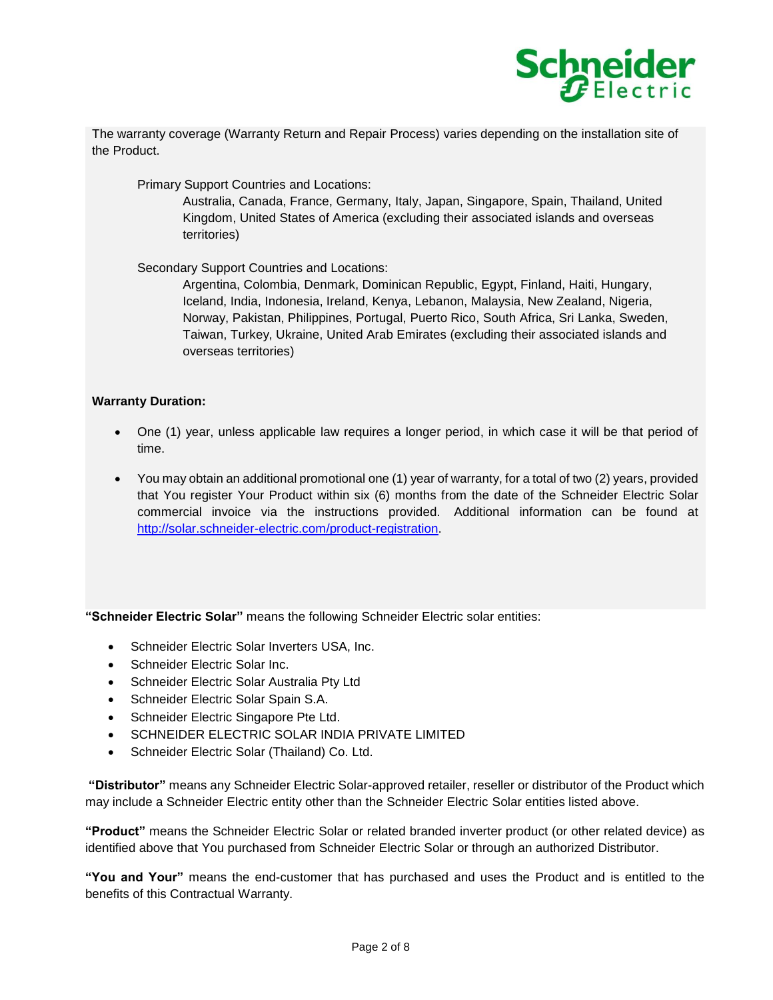

The warranty coverage (Warranty Return and Repair Process) varies depending on the installation site of the Product.

Primary Support Countries and Locations:

Australia, Canada, France, Germany, Italy, Japan, Singapore, Spain, Thailand, United Kingdom, United States of America (excluding their associated islands and overseas territories)

Secondary Support Countries and Locations:

Argentina, Colombia, Denmark, Dominican Republic, Egypt, Finland, Haiti, Hungary, Iceland, India, Indonesia, Ireland, Kenya, Lebanon, Malaysia, New Zealand, Nigeria, Norway, Pakistan, Philippines, Portugal, Puerto Rico, South Africa, Sri Lanka, Sweden, Taiwan, Turkey, Ukraine, United Arab Emirates (excluding their associated islands and overseas territories)

### **Warranty Duration:**

- One (1) year, unless applicable law requires a longer period, in which case it will be that period of time.
- You may obtain an additional promotional one (1) year of warranty, for a total of two (2) years, provided that You register Your Product within six (6) months from the date of the Schneider Electric Solar commercial invoice via the instructions provided. Additional information can be found at [http://solar.schneider-electric.com/product-registration.](http://solar.schneider-electric.com/product-registration)

**"Schneider Electric Solar"** means the following Schneider Electric solar entities:

- Schneider Electric Solar Inverters USA, Inc.
- Schneider Electric Solar Inc.
- Schneider Electric Solar Australia Pty Ltd
- Schneider Electric Solar Spain S.A.
- Schneider Electric Singapore Pte Ltd.
- SCHNEIDER ELECTRIC SOLAR INDIA PRIVATE LIMITED
- Schneider Electric Solar (Thailand) Co. Ltd.

**"Distributor"** means any Schneider Electric Solar-approved retailer, reseller or distributor of the Product which may include a Schneider Electric entity other than the Schneider Electric Solar entities listed above.

**"Product"** means the Schneider Electric Solar or related branded inverter product (or other related device) as identified above that You purchased from Schneider Electric Solar or through an authorized Distributor.

**"You and Your"** means the end-customer that has purchased and uses the Product and is entitled to the benefits of this Contractual Warranty.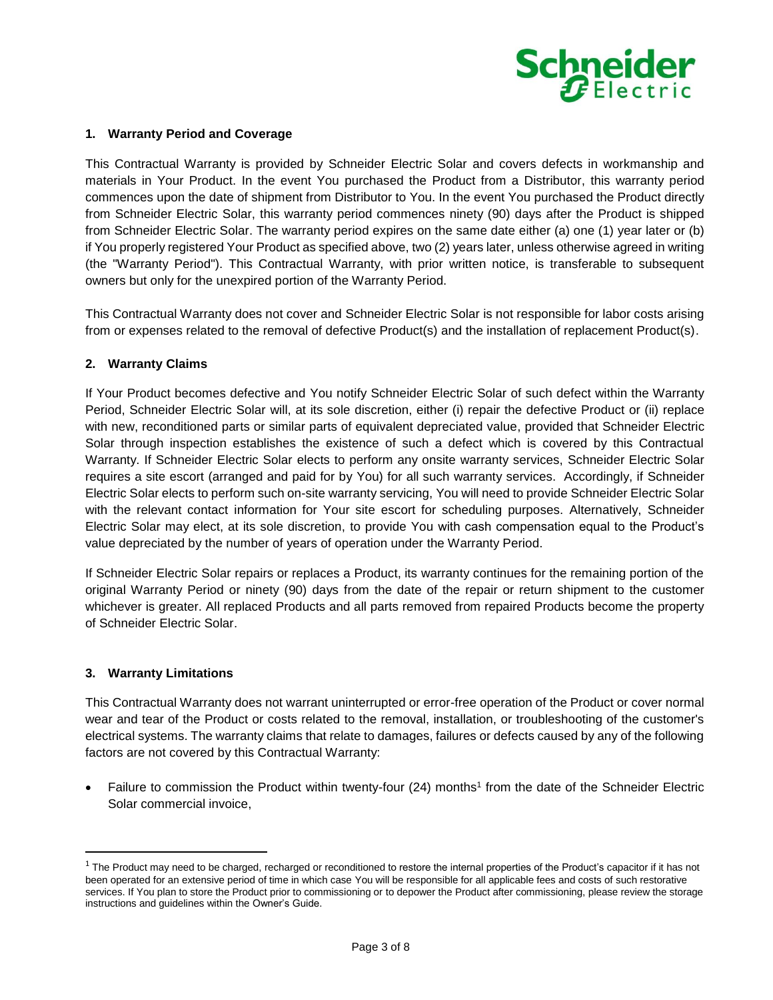

#### **1. Warranty Period and Coverage**

This Contractual Warranty is provided by Schneider Electric Solar and covers defects in workmanship and materials in Your Product. In the event You purchased the Product from a Distributor, this warranty period commences upon the date of shipment from Distributor to You. In the event You purchased the Product directly from Schneider Electric Solar, this warranty period commences ninety (90) days after the Product is shipped from Schneider Electric Solar. The warranty period expires on the same date either (a) one (1) year later or (b) if You properly registered Your Product as specified above, two (2) years later, unless otherwise agreed in writing (the "Warranty Period"). This Contractual Warranty, with prior written notice, is transferable to subsequent owners but only for the unexpired portion of the Warranty Period.

This Contractual Warranty does not cover and Schneider Electric Solar is not responsible for labor costs arising from or expenses related to the removal of defective Product(s) and the installation of replacement Product(s).

### **2. Warranty Claims**

If Your Product becomes defective and You notify Schneider Electric Solar of such defect within the Warranty Period, Schneider Electric Solar will, at its sole discretion, either (i) repair the defective Product or (ii) replace with new, reconditioned parts or similar parts of equivalent depreciated value, provided that Schneider Electric Solar through inspection establishes the existence of such a defect which is covered by this Contractual Warranty. If Schneider Electric Solar elects to perform any onsite warranty services, Schneider Electric Solar requires a site escort (arranged and paid for by You) for all such warranty services. Accordingly, if Schneider Electric Solar elects to perform such on-site warranty servicing, You will need to provide Schneider Electric Solar with the relevant contact information for Your site escort for scheduling purposes. Alternatively, Schneider Electric Solar may elect, at its sole discretion, to provide You with cash compensation equal to the Product's value depreciated by the number of years of operation under the Warranty Period.

If Schneider Electric Solar repairs or replaces a Product, its warranty continues for the remaining portion of the original Warranty Period or ninety (90) days from the date of the repair or return shipment to the customer whichever is greater. All replaced Products and all parts removed from repaired Products become the property of Schneider Electric Solar.

#### **3. Warranty Limitations**

l

This Contractual Warranty does not warrant uninterrupted or error-free operation of the Product or cover normal wear and tear of the Product or costs related to the removal, installation, or troubleshooting of the customer's electrical systems. The warranty claims that relate to damages, failures or defects caused by any of the following factors are not covered by this Contractual Warranty:

• Failure to commission the Product within twenty-four (24) months<sup>1</sup> from the date of the Schneider Electric Solar commercial invoice,

 $1$  The Product may need to be charged, recharged or reconditioned to restore the internal properties of the Product's capacitor if it has not been operated for an extensive period of time in which case You will be responsible for all applicable fees and costs of such restorative services. If You plan to store the Product prior to commissioning or to depower the Product after commissioning, please review the storage instructions and guidelines within the Owner's Guide.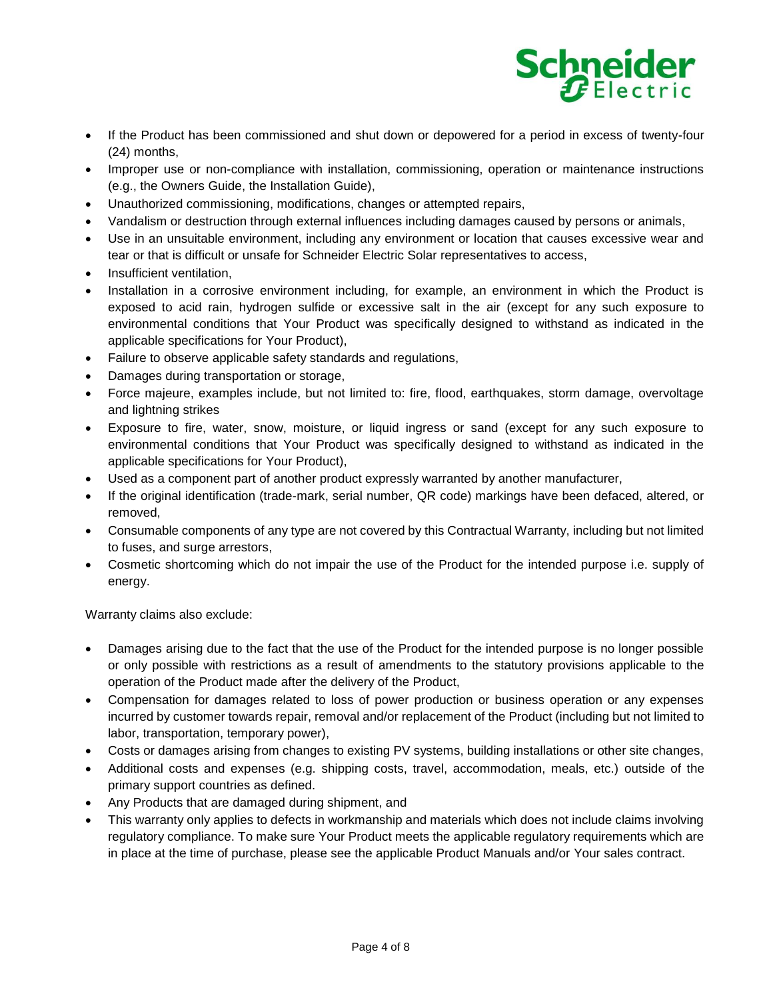

- If the Product has been commissioned and shut down or depowered for a period in excess of twenty-four (24) months,
- Improper use or non-compliance with installation, commissioning, operation or maintenance instructions (e.g., the Owners Guide, the Installation Guide),
- Unauthorized commissioning, modifications, changes or attempted repairs,
- Vandalism or destruction through external influences including damages caused by persons or animals,
- Use in an unsuitable environment, including any environment or location that causes excessive wear and tear or that is difficult or unsafe for Schneider Electric Solar representatives to access,
- Insufficient ventilation,
- Installation in a corrosive environment including, for example, an environment in which the Product is exposed to acid rain, hydrogen sulfide or excessive salt in the air (except for any such exposure to environmental conditions that Your Product was specifically designed to withstand as indicated in the applicable specifications for Your Product),
- Failure to observe applicable safety standards and regulations,
- Damages during transportation or storage,
- Force majeure, examples include, but not limited to: fire, flood, earthquakes, storm damage, overvoltage and lightning strikes
- Exposure to fire, water, snow, moisture, or liquid ingress or sand (except for any such exposure to environmental conditions that Your Product was specifically designed to withstand as indicated in the applicable specifications for Your Product),
- Used as a component part of another product expressly warranted by another manufacturer,
- If the original identification (trade-mark, serial number, QR code) markings have been defaced, altered, or removed,
- Consumable components of any type are not covered by this Contractual Warranty, including but not limited to fuses, and surge arrestors,
- Cosmetic shortcoming which do not impair the use of the Product for the intended purpose i.e. supply of energy.

Warranty claims also exclude:

- Damages arising due to the fact that the use of the Product for the intended purpose is no longer possible or only possible with restrictions as a result of amendments to the statutory provisions applicable to the operation of the Product made after the delivery of the Product,
- Compensation for damages related to loss of power production or business operation or any expenses incurred by customer towards repair, removal and/or replacement of the Product (including but not limited to labor, transportation, temporary power),
- Costs or damages arising from changes to existing PV systems, building installations or other site changes,
- Additional costs and expenses (e.g. shipping costs, travel, accommodation, meals, etc.) outside of the primary support countries as defined.
- Any Products that are damaged during shipment, and
- This warranty only applies to defects in workmanship and materials which does not include claims involving regulatory compliance. To make sure Your Product meets the applicable regulatory requirements which are in place at the time of purchase, please see the applicable Product Manuals and/or Your sales contract.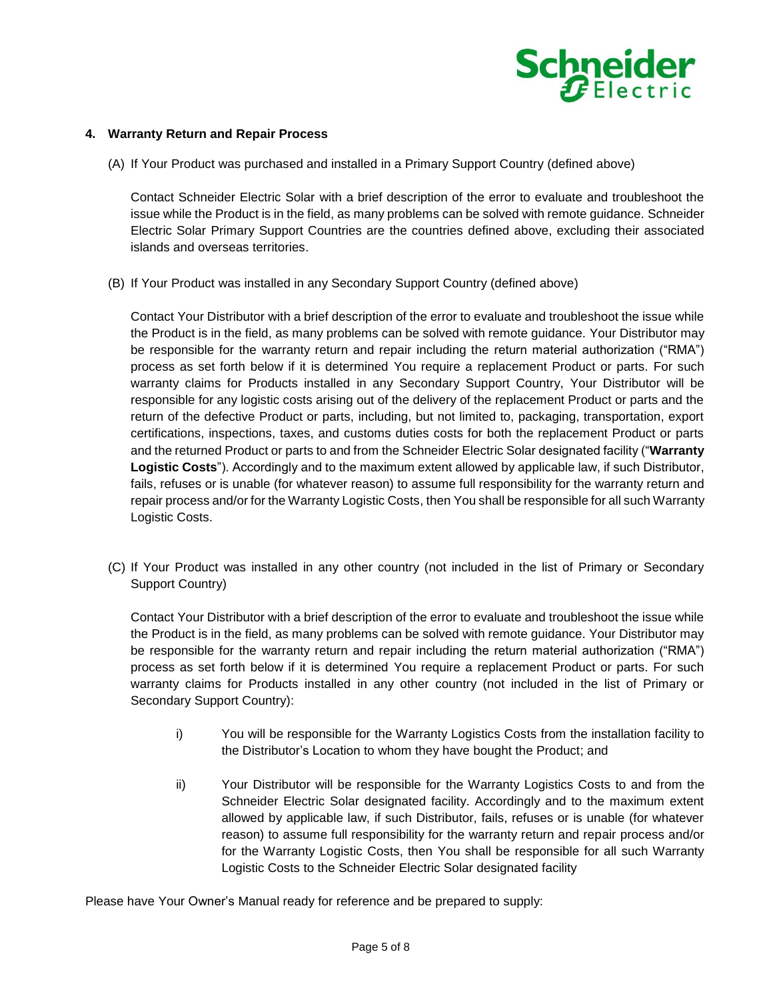

#### **4. Warranty Return and Repair Process**

(A) If Your Product was purchased and installed in a Primary Support Country (defined above)

Contact Schneider Electric Solar with a brief description of the error to evaluate and troubleshoot the issue while the Product is in the field, as many problems can be solved with remote guidance. Schneider Electric Solar Primary Support Countries are the countries defined above, excluding their associated islands and overseas territories.

(B) If Your Product was installed in any Secondary Support Country (defined above)

Contact Your Distributor with a brief description of the error to evaluate and troubleshoot the issue while the Product is in the field, as many problems can be solved with remote guidance. Your Distributor may be responsible for the warranty return and repair including the return material authorization ("RMA") process as set forth below if it is determined You require a replacement Product or parts. For such warranty claims for Products installed in any Secondary Support Country, Your Distributor will be responsible for any logistic costs arising out of the delivery of the replacement Product or parts and the return of the defective Product or parts, including, but not limited to, packaging, transportation, export certifications, inspections, taxes, and customs duties costs for both the replacement Product or parts and the returned Product or parts to and from the Schneider Electric Solar designated facility ("**Warranty Logistic Costs**"). Accordingly and to the maximum extent allowed by applicable law, if such Distributor, fails, refuses or is unable (for whatever reason) to assume full responsibility for the warranty return and repair process and/or for the Warranty Logistic Costs, then You shall be responsible for all such Warranty Logistic Costs.

(C) If Your Product was installed in any other country (not included in the list of Primary or Secondary Support Country)

Contact Your Distributor with a brief description of the error to evaluate and troubleshoot the issue while the Product is in the field, as many problems can be solved with remote guidance. Your Distributor may be responsible for the warranty return and repair including the return material authorization ("RMA") process as set forth below if it is determined You require a replacement Product or parts. For such warranty claims for Products installed in any other country (not included in the list of Primary or Secondary Support Country):

- i) You will be responsible for the Warranty Logistics Costs from the installation facility to the Distributor's Location to whom they have bought the Product; and
- ii) Your Distributor will be responsible for the Warranty Logistics Costs to and from the Schneider Electric Solar designated facility. Accordingly and to the maximum extent allowed by applicable law, if such Distributor, fails, refuses or is unable (for whatever reason) to assume full responsibility for the warranty return and repair process and/or for the Warranty Logistic Costs, then You shall be responsible for all such Warranty Logistic Costs to the Schneider Electric Solar designated facility

Please have Your Owner's Manual ready for reference and be prepared to supply: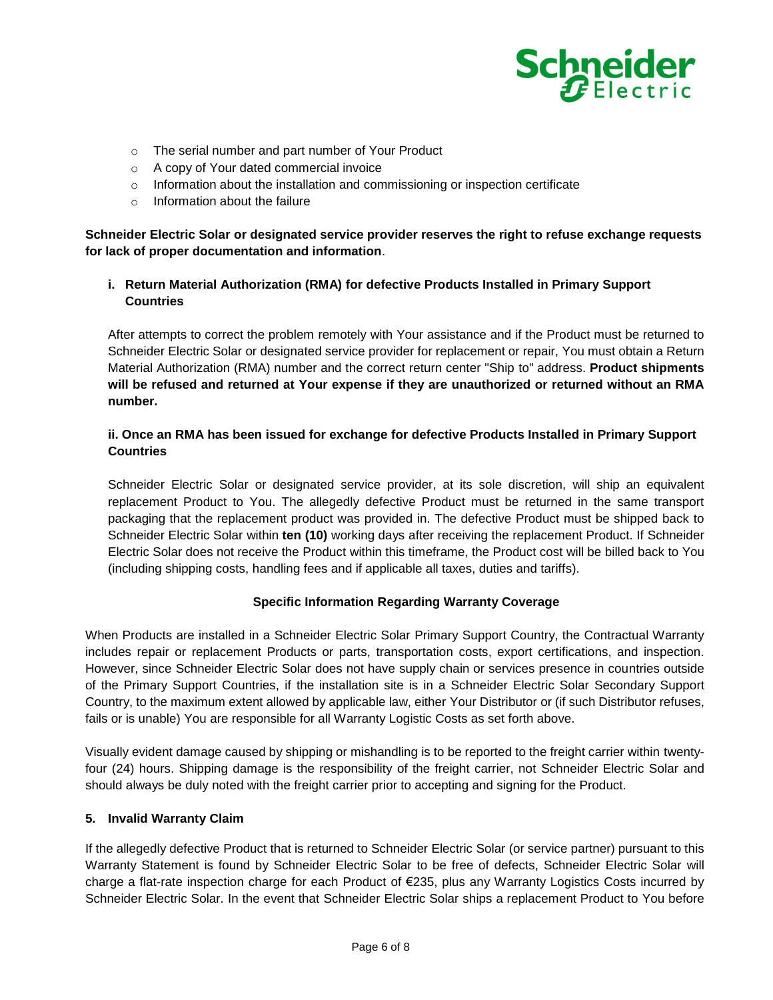

- o The serial number and part number of Your Product
- o A copy of Your dated commercial invoice
- $\circ$  Information about the installation and commissioning or inspection certificate
- o Information about the failure

**Schneider Electric Solar or designated service provider reserves the right to refuse exchange requests for lack of proper documentation and information**.

# **i. Return Material Authorization (RMA) for defective Products Installed in Primary Support Countries**

After attempts to correct the problem remotely with Your assistance and if the Product must be returned to Schneider Electric Solar or designated service provider for replacement or repair, You must obtain a Return Material Authorization (RMA) number and the correct return center "Ship to" address. **Product shipments will be refused and returned at Your expense if they are unauthorized or returned without an RMA number.**

# **ii. Once an RMA has been issued for exchange for defective Products Installed in Primary Support Countries**

Schneider Electric Solar or designated service provider, at its sole discretion, will ship an equivalent replacement Product to You. The allegedly defective Product must be returned in the same transport packaging that the replacement product was provided in. The defective Product must be shipped back to Schneider Electric Solar within **ten (10)** working days after receiving the replacement Product. If Schneider Electric Solar does not receive the Product within this timeframe, the Product cost will be billed back to You (including shipping costs, handling fees and if applicable all taxes, duties and tariffs).

# **Specific Information Regarding Warranty Coverage**

When Products are installed in a Schneider Electric Solar Primary Support Country, the Contractual Warranty includes repair or replacement Products or parts, transportation costs, export certifications, and inspection. However, since Schneider Electric Solar does not have supply chain or services presence in countries outside of the Primary Support Countries, if the installation site is in a Schneider Electric Solar Secondary Support Country, to the maximum extent allowed by applicable law, either Your Distributor or (if such Distributor refuses, fails or is unable) You are responsible for all Warranty Logistic Costs as set forth above.

Visually evident damage caused by shipping or mishandling is to be reported to the freight carrier within twentyfour (24) hours. Shipping damage is the responsibility of the freight carrier, not Schneider Electric Solar and should always be duly noted with the freight carrier prior to accepting and signing for the Product.

#### **5. Invalid Warranty Claim**

If the allegedly defective Product that is returned to Schneider Electric Solar (or service partner) pursuant to this Warranty Statement is found by Schneider Electric Solar to be free of defects, Schneider Electric Solar will charge a flat-rate inspection charge for each Product of €235, plus any Warranty Logistics Costs incurred by Schneider Electric Solar. In the event that Schneider Electric Solar ships a replacement Product to You before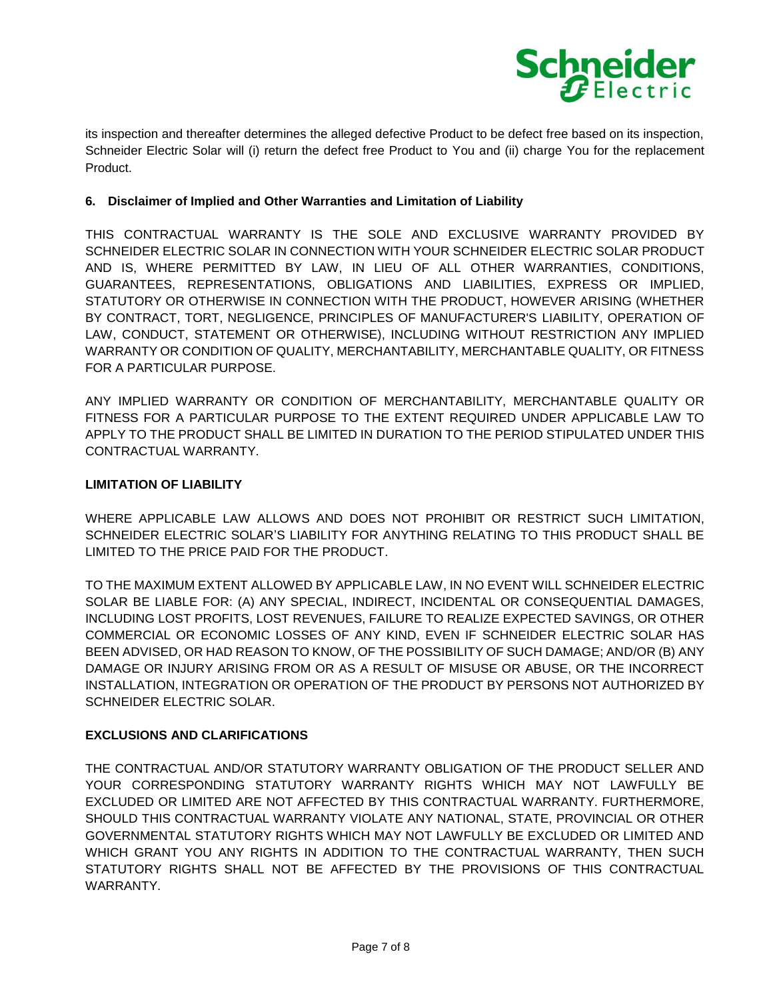

its inspection and thereafter determines the alleged defective Product to be defect free based on its inspection, Schneider Electric Solar will (i) return the defect free Product to You and (ii) charge You for the replacement Product.

## **6. Disclaimer of Implied and Other Warranties and Limitation of Liability**

THIS CONTRACTUAL WARRANTY IS THE SOLE AND EXCLUSIVE WARRANTY PROVIDED BY SCHNEIDER ELECTRIC SOLAR IN CONNECTION WITH YOUR SCHNEIDER ELECTRIC SOLAR PRODUCT AND IS, WHERE PERMITTED BY LAW, IN LIEU OF ALL OTHER WARRANTIES, CONDITIONS, GUARANTEES, REPRESENTATIONS, OBLIGATIONS AND LIABILITIES, EXPRESS OR IMPLIED, STATUTORY OR OTHERWISE IN CONNECTION WITH THE PRODUCT, HOWEVER ARISING (WHETHER BY CONTRACT, TORT, NEGLIGENCE, PRINCIPLES OF MANUFACTURER'S LIABILITY, OPERATION OF LAW, CONDUCT, STATEMENT OR OTHERWISE), INCLUDING WITHOUT RESTRICTION ANY IMPLIED WARRANTY OR CONDITION OF QUALITY, MERCHANTABILITY, MERCHANTABLE QUALITY, OR FITNESS FOR A PARTICULAR PURPOSE.

ANY IMPLIED WARRANTY OR CONDITION OF MERCHANTABILITY, MERCHANTABLE QUALITY OR FITNESS FOR A PARTICULAR PURPOSE TO THE EXTENT REQUIRED UNDER APPLICABLE LAW TO APPLY TO THE PRODUCT SHALL BE LIMITED IN DURATION TO THE PERIOD STIPULATED UNDER THIS CONTRACTUAL WARRANTY.

### **LIMITATION OF LIABILITY**

WHERE APPLICABLE LAW ALLOWS AND DOES NOT PROHIBIT OR RESTRICT SUCH LIMITATION, SCHNEIDER ELECTRIC SOLAR'S LIABILITY FOR ANYTHING RELATING TO THIS PRODUCT SHALL BE LIMITED TO THE PRICE PAID FOR THE PRODUCT.

TO THE MAXIMUM EXTENT ALLOWED BY APPLICABLE LAW, IN NO EVENT WILL SCHNEIDER ELECTRIC SOLAR BE LIABLE FOR: (A) ANY SPECIAL, INDIRECT, INCIDENTAL OR CONSEQUENTIAL DAMAGES, INCLUDING LOST PROFITS, LOST REVENUES, FAILURE TO REALIZE EXPECTED SAVINGS, OR OTHER COMMERCIAL OR ECONOMIC LOSSES OF ANY KIND, EVEN IF SCHNEIDER ELECTRIC SOLAR HAS BEEN ADVISED, OR HAD REASON TO KNOW, OF THE POSSIBILITY OF SUCH DAMAGE; AND/OR (B) ANY DAMAGE OR INJURY ARISING FROM OR AS A RESULT OF MISUSE OR ABUSE, OR THE INCORRECT INSTALLATION, INTEGRATION OR OPERATION OF THE PRODUCT BY PERSONS NOT AUTHORIZED BY SCHNEIDER ELECTRIC SOLAR.

# **EXCLUSIONS AND CLARIFICATIONS**

THE CONTRACTUAL AND/OR STATUTORY WARRANTY OBLIGATION OF THE PRODUCT SELLER AND YOUR CORRESPONDING STATUTORY WARRANTY RIGHTS WHICH MAY NOT LAWFULLY BE EXCLUDED OR LIMITED ARE NOT AFFECTED BY THIS CONTRACTUAL WARRANTY. FURTHERMORE, SHOULD THIS CONTRACTUAL WARRANTY VIOLATE ANY NATIONAL, STATE, PROVINCIAL OR OTHER GOVERNMENTAL STATUTORY RIGHTS WHICH MAY NOT LAWFULLY BE EXCLUDED OR LIMITED AND WHICH GRANT YOU ANY RIGHTS IN ADDITION TO THE CONTRACTUAL WARRANTY, THEN SUCH STATUTORY RIGHTS SHALL NOT BE AFFECTED BY THE PROVISIONS OF THIS CONTRACTUAL WARRANTY.